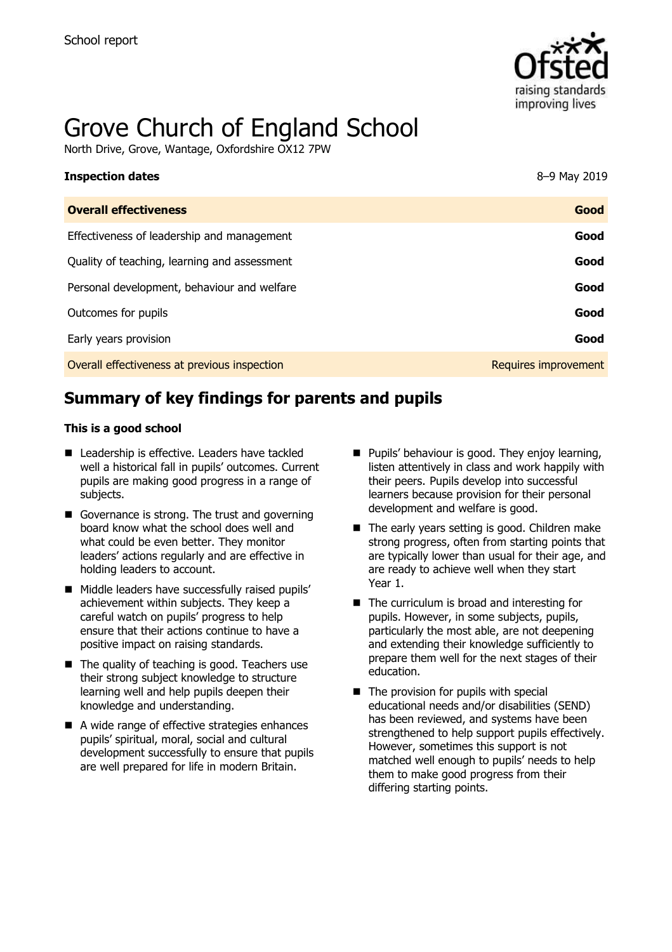

# Grove Church of England School

North Drive, Grove, Wantage, Oxfordshire OX12 7PW

| <b>Inspection dates</b>                      | 8-9 May 2019         |
|----------------------------------------------|----------------------|
| <b>Overall effectiveness</b>                 | Good                 |
| Effectiveness of leadership and management   | Good                 |
| Quality of teaching, learning and assessment | Good                 |
| Personal development, behaviour and welfare  | Good                 |
| Outcomes for pupils                          | Good                 |
| Early years provision                        | Good                 |
| Overall effectiveness at previous inspection | Requires improvement |

# **Summary of key findings for parents and pupils**

#### **This is a good school**

- Leadership is effective. Leaders have tackled well a historical fall in pupils' outcomes. Current pupils are making good progress in a range of subjects.
- Governance is strong. The trust and governing board know what the school does well and what could be even better. They monitor leaders' actions regularly and are effective in holding leaders to account.
- Middle leaders have successfully raised pupils' achievement within subjects. They keep a careful watch on pupils' progress to help ensure that their actions continue to have a positive impact on raising standards.
- $\blacksquare$  The quality of teaching is good. Teachers use their strong subject knowledge to structure learning well and help pupils deepen their knowledge and understanding.
- A wide range of effective strategies enhances pupils' spiritual, moral, social and cultural development successfully to ensure that pupils are well prepared for life in modern Britain.
- **Pupils' behaviour is good. They enjoy learning,** listen attentively in class and work happily with their peers. Pupils develop into successful learners because provision for their personal development and welfare is good.
- The early years setting is good. Children make strong progress, often from starting points that are typically lower than usual for their age, and are ready to achieve well when they start Year 1.
- $\blacksquare$  The curriculum is broad and interesting for pupils. However, in some subjects, pupils, particularly the most able, are not deepening and extending their knowledge sufficiently to prepare them well for the next stages of their education.
- $\blacksquare$  The provision for pupils with special educational needs and/or disabilities (SEND) has been reviewed, and systems have been strengthened to help support pupils effectively. However, sometimes this support is not matched well enough to pupils' needs to help them to make good progress from their differing starting points.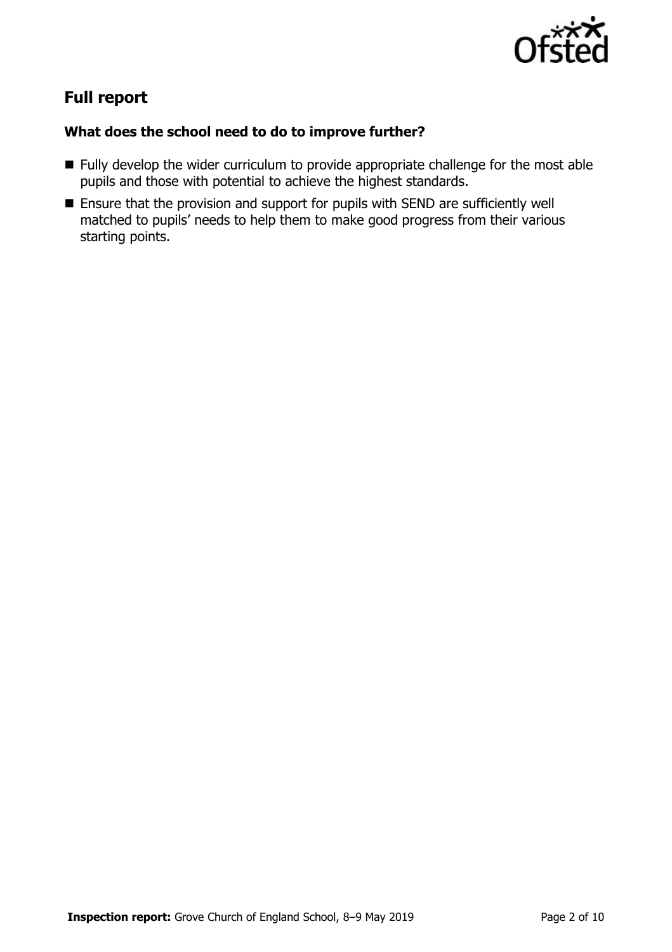

# **Full report**

### **What does the school need to do to improve further?**

- **Fully develop the wider curriculum to provide appropriate challenge for the most able** pupils and those with potential to achieve the highest standards.
- Ensure that the provision and support for pupils with SEND are sufficiently well matched to pupils' needs to help them to make good progress from their various starting points.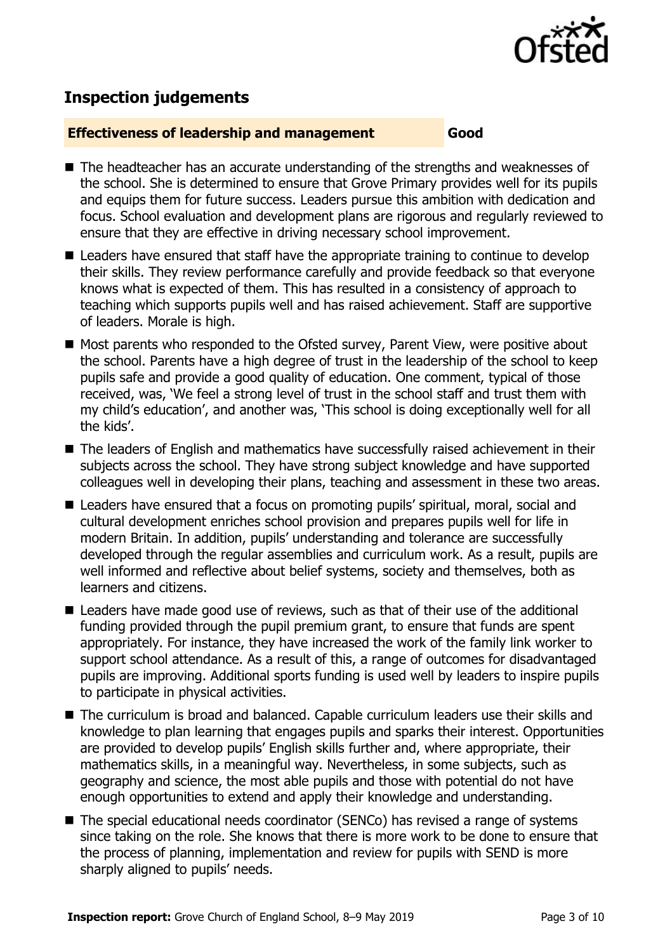

# **Inspection judgements**

#### **Effectiveness of leadership and management Good**

- The headteacher has an accurate understanding of the strengths and weaknesses of the school. She is determined to ensure that Grove Primary provides well for its pupils and equips them for future success. Leaders pursue this ambition with dedication and focus. School evaluation and development plans are rigorous and regularly reviewed to ensure that they are effective in driving necessary school improvement.
- Leaders have ensured that staff have the appropriate training to continue to develop their skills. They review performance carefully and provide feedback so that everyone knows what is expected of them. This has resulted in a consistency of approach to teaching which supports pupils well and has raised achievement. Staff are supportive of leaders. Morale is high.
- Most parents who responded to the Ofsted survey, Parent View, were positive about the school. Parents have a high degree of trust in the leadership of the school to keep pupils safe and provide a good quality of education. One comment, typical of those received, was, 'We feel a strong level of trust in the school staff and trust them with my child's education', and another was, 'This school is doing exceptionally well for all the kids'.
- The leaders of English and mathematics have successfully raised achievement in their subjects across the school. They have strong subject knowledge and have supported colleagues well in developing their plans, teaching and assessment in these two areas.
- Leaders have ensured that a focus on promoting pupils' spiritual, moral, social and cultural development enriches school provision and prepares pupils well for life in modern Britain. In addition, pupils' understanding and tolerance are successfully developed through the regular assemblies and curriculum work. As a result, pupils are well informed and reflective about belief systems, society and themselves, both as learners and citizens.
- Leaders have made good use of reviews, such as that of their use of the additional funding provided through the pupil premium grant, to ensure that funds are spent appropriately. For instance, they have increased the work of the family link worker to support school attendance. As a result of this, a range of outcomes for disadvantaged pupils are improving. Additional sports funding is used well by leaders to inspire pupils to participate in physical activities.
- The curriculum is broad and balanced. Capable curriculum leaders use their skills and knowledge to plan learning that engages pupils and sparks their interest. Opportunities are provided to develop pupils' English skills further and, where appropriate, their mathematics skills, in a meaningful way. Nevertheless, in some subjects, such as geography and science, the most able pupils and those with potential do not have enough opportunities to extend and apply their knowledge and understanding.
- The special educational needs coordinator (SENCo) has revised a range of systems since taking on the role. She knows that there is more work to be done to ensure that the process of planning, implementation and review for pupils with SEND is more sharply aligned to pupils' needs.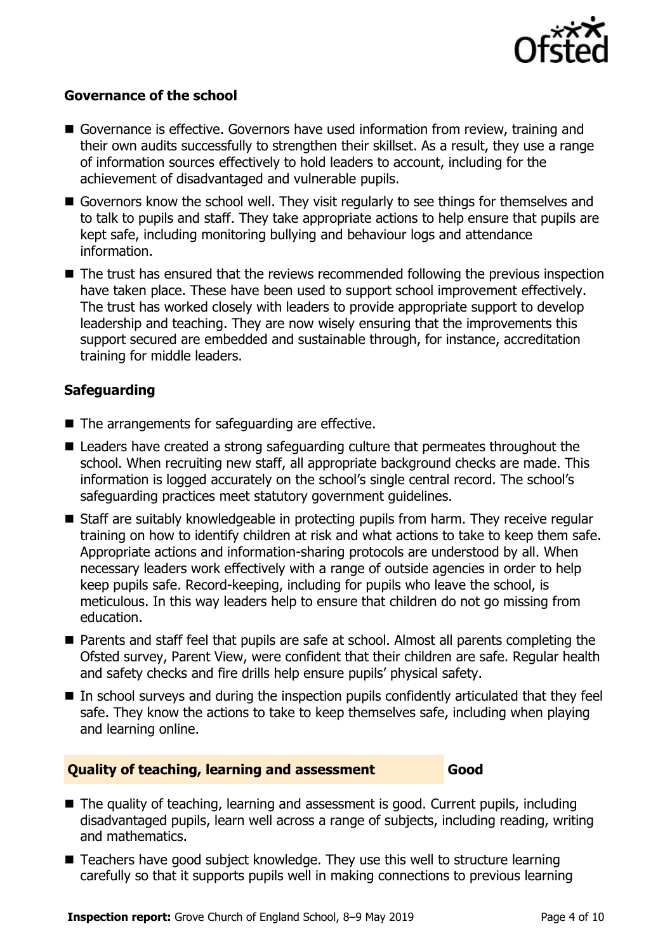

#### **Governance of the school**

- Governance is effective. Governors have used information from review, training and their own audits successfully to strengthen their skillset. As a result, they use a range of information sources effectively to hold leaders to account, including for the achievement of disadvantaged and vulnerable pupils.
- Governors know the school well. They visit regularly to see things for themselves and to talk to pupils and staff. They take appropriate actions to help ensure that pupils are kept safe, including monitoring bullying and behaviour logs and attendance information.
- The trust has ensured that the reviews recommended following the previous inspection have taken place. These have been used to support school improvement effectively. The trust has worked closely with leaders to provide appropriate support to develop leadership and teaching. They are now wisely ensuring that the improvements this support secured are embedded and sustainable through, for instance, accreditation training for middle leaders.

### **Safeguarding**

- The arrangements for safeguarding are effective.
- Leaders have created a strong safeguarding culture that permeates throughout the school. When recruiting new staff, all appropriate background checks are made. This information is logged accurately on the school's single central record. The school's safeguarding practices meet statutory government guidelines.
- Staff are suitably knowledgeable in protecting pupils from harm. They receive regular training on how to identify children at risk and what actions to take to keep them safe. Appropriate actions and information-sharing protocols are understood by all. When necessary leaders work effectively with a range of outside agencies in order to help keep pupils safe. Record-keeping, including for pupils who leave the school, is meticulous. In this way leaders help to ensure that children do not go missing from education.
- **Parents and staff feel that pupils are safe at school. Almost all parents completing the** Ofsted survey, Parent View, were confident that their children are safe. Regular health and safety checks and fire drills help ensure pupils' physical safety.
- In school surveys and during the inspection pupils confidently articulated that they feel safe. They know the actions to take to keep themselves safe, including when playing and learning online.

#### **Quality of teaching, learning and assessment Good**

■ The quality of teaching, learning and assessment is good. Current pupils, including disadvantaged pupils, learn well across a range of subjects, including reading, writing and mathematics.

■ Teachers have good subject knowledge. They use this well to structure learning carefully so that it supports pupils well in making connections to previous learning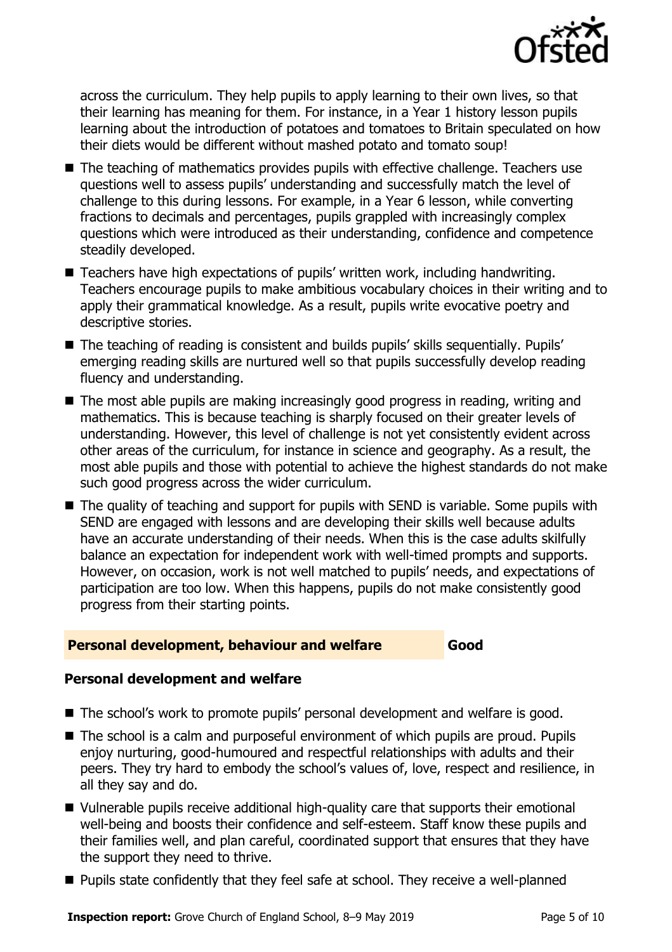

across the curriculum. They help pupils to apply learning to their own lives, so that their learning has meaning for them. For instance, in a Year 1 history lesson pupils learning about the introduction of potatoes and tomatoes to Britain speculated on how their diets would be different without mashed potato and tomato soup!

- The teaching of mathematics provides pupils with effective challenge. Teachers use questions well to assess pupils' understanding and successfully match the level of challenge to this during lessons. For example, in a Year 6 lesson, while converting fractions to decimals and percentages, pupils grappled with increasingly complex questions which were introduced as their understanding, confidence and competence steadily developed.
- Teachers have high expectations of pupils' written work, including handwriting. Teachers encourage pupils to make ambitious vocabulary choices in their writing and to apply their grammatical knowledge. As a result, pupils write evocative poetry and descriptive stories.
- The teaching of reading is consistent and builds pupils' skills sequentially. Pupils' emerging reading skills are nurtured well so that pupils successfully develop reading fluency and understanding.
- The most able pupils are making increasingly good progress in reading, writing and mathematics. This is because teaching is sharply focused on their greater levels of understanding. However, this level of challenge is not yet consistently evident across other areas of the curriculum, for instance in science and geography. As a result, the most able pupils and those with potential to achieve the highest standards do not make such good progress across the wider curriculum.
- The quality of teaching and support for pupils with SEND is variable. Some pupils with SEND are engaged with lessons and are developing their skills well because adults have an accurate understanding of their needs. When this is the case adults skilfully balance an expectation for independent work with well-timed prompts and supports. However, on occasion, work is not well matched to pupils' needs, and expectations of participation are too low. When this happens, pupils do not make consistently good progress from their starting points.

#### **Personal development, behaviour and welfare Good**

#### **Personal development and welfare**

- The school's work to promote pupils' personal development and welfare is good.
- The school is a calm and purposeful environment of which pupils are proud. Pupils enjoy nurturing, good-humoured and respectful relationships with adults and their peers. They try hard to embody the school's values of, love, respect and resilience, in all they say and do.
- Vulnerable pupils receive additional high-quality care that supports their emotional well-being and boosts their confidence and self-esteem. Staff know these pupils and their families well, and plan careful, coordinated support that ensures that they have the support they need to thrive.
- **Pupils state confidently that they feel safe at school. They receive a well-planned**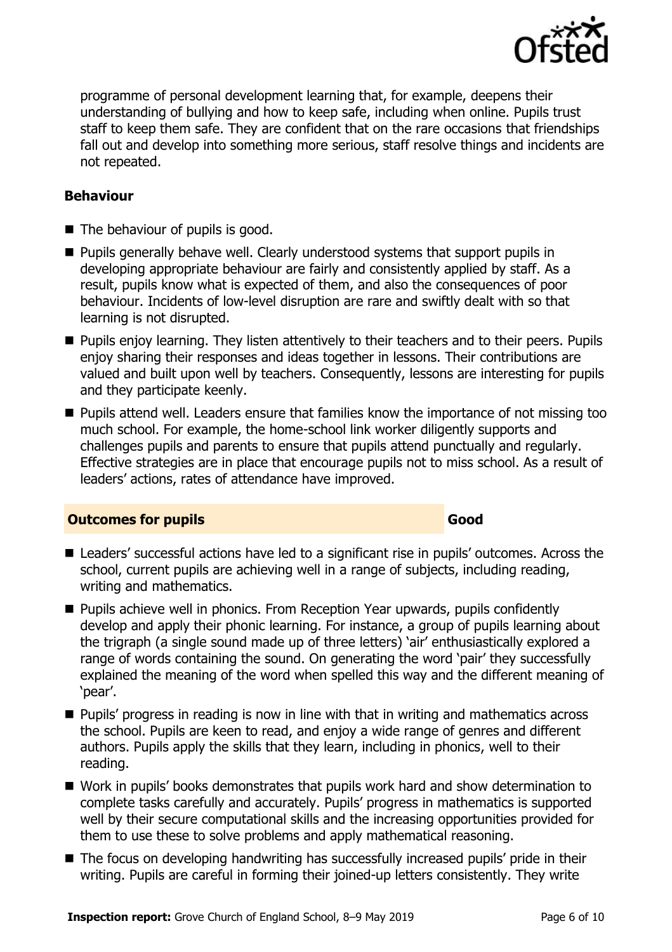

programme of personal development learning that, for example, deepens their understanding of bullying and how to keep safe, including when online. Pupils trust staff to keep them safe. They are confident that on the rare occasions that friendships fall out and develop into something more serious, staff resolve things and incidents are not repeated.

#### **Behaviour**

- The behaviour of pupils is good.
- Pupils generally behave well. Clearly understood systems that support pupils in developing appropriate behaviour are fairly and consistently applied by staff. As a result, pupils know what is expected of them, and also the consequences of poor behaviour. Incidents of low-level disruption are rare and swiftly dealt with so that learning is not disrupted.
- **Pupils enjoy learning. They listen attentively to their teachers and to their peers. Pupils** enjoy sharing their responses and ideas together in lessons. Their contributions are valued and built upon well by teachers. Consequently, lessons are interesting for pupils and they participate keenly.
- **Pupils attend well. Leaders ensure that families know the importance of not missing too** much school. For example, the home-school link worker diligently supports and challenges pupils and parents to ensure that pupils attend punctually and regularly. Effective strategies are in place that encourage pupils not to miss school. As a result of leaders' actions, rates of attendance have improved.

#### **Outcomes for pupils Good**

- Leaders' successful actions have led to a significant rise in pupils' outcomes. Across the school, current pupils are achieving well in a range of subjects, including reading, writing and mathematics.
- **Pupils achieve well in phonics. From Reception Year upwards, pupils confidently** develop and apply their phonic learning. For instance, a group of pupils learning about the trigraph (a single sound made up of three letters) 'air' enthusiastically explored a range of words containing the sound. On generating the word 'pair' they successfully explained the meaning of the word when spelled this way and the different meaning of 'pear'.
- **Pupils' progress in reading is now in line with that in writing and mathematics across** the school. Pupils are keen to read, and enjoy a wide range of genres and different authors. Pupils apply the skills that they learn, including in phonics, well to their reading.
- Work in pupils' books demonstrates that pupils work hard and show determination to complete tasks carefully and accurately. Pupils' progress in mathematics is supported well by their secure computational skills and the increasing opportunities provided for them to use these to solve problems and apply mathematical reasoning.
- The focus on developing handwriting has successfully increased pupils' pride in their writing. Pupils are careful in forming their joined-up letters consistently. They write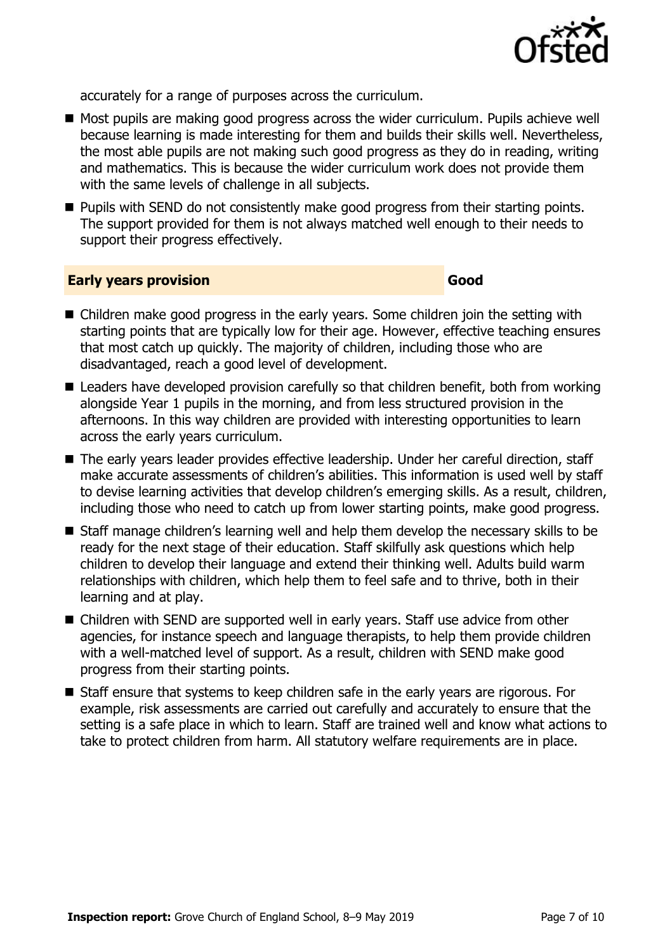

accurately for a range of purposes across the curriculum.

- Most pupils are making good progress across the wider curriculum. Pupils achieve well because learning is made interesting for them and builds their skills well. Nevertheless, the most able pupils are not making such good progress as they do in reading, writing and mathematics. This is because the wider curriculum work does not provide them with the same levels of challenge in all subjects.
- **Pupils with SEND do not consistently make good progress from their starting points.** The support provided for them is not always matched well enough to their needs to support their progress effectively.

#### **Early years provision Good**

- Children make good progress in the early years. Some children join the setting with starting points that are typically low for their age. However, effective teaching ensures that most catch up quickly. The majority of children, including those who are disadvantaged, reach a good level of development.
- Leaders have developed provision carefully so that children benefit, both from working alongside Year 1 pupils in the morning, and from less structured provision in the afternoons. In this way children are provided with interesting opportunities to learn across the early years curriculum.
- The early years leader provides effective leadership. Under her careful direction, staff make accurate assessments of children's abilities. This information is used well by staff to devise learning activities that develop children's emerging skills. As a result, children, including those who need to catch up from lower starting points, make good progress.
- Staff manage children's learning well and help them develop the necessary skills to be ready for the next stage of their education. Staff skilfully ask questions which help children to develop their language and extend their thinking well. Adults build warm relationships with children, which help them to feel safe and to thrive, both in their learning and at play.
- Children with SEND are supported well in early years. Staff use advice from other agencies, for instance speech and language therapists, to help them provide children with a well-matched level of support. As a result, children with SEND make good progress from their starting points.
- Staff ensure that systems to keep children safe in the early years are rigorous. For example, risk assessments are carried out carefully and accurately to ensure that the setting is a safe place in which to learn. Staff are trained well and know what actions to take to protect children from harm. All statutory welfare requirements are in place.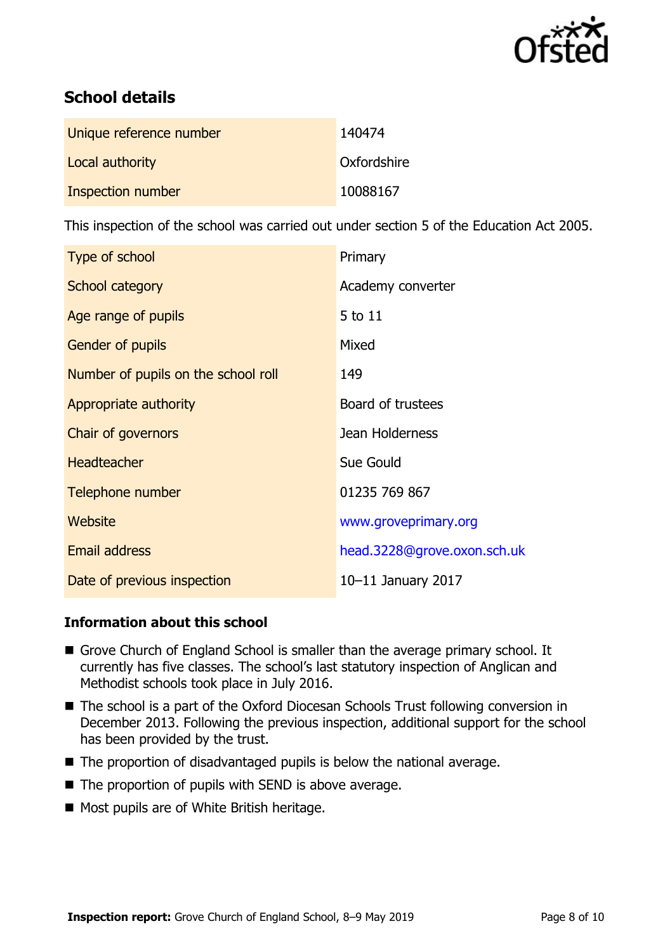

# **School details**

| Unique reference number | 140474      |
|-------------------------|-------------|
| Local authority         | Oxfordshire |
| Inspection number       | 10088167    |

This inspection of the school was carried out under section 5 of the Education Act 2005.

| Type of school                      | Primary                     |
|-------------------------------------|-----------------------------|
| School category                     | Academy converter           |
| Age range of pupils                 | 5 to 11                     |
| <b>Gender of pupils</b>             | Mixed                       |
| Number of pupils on the school roll | 149                         |
| Appropriate authority               | Board of trustees           |
| Chair of governors                  | Jean Holderness             |
| <b>Headteacher</b>                  | Sue Gould                   |
| Telephone number                    | 01235 769 867               |
| Website                             | www.groveprimary.org        |
| <b>Email address</b>                | head.3228@grove.oxon.sch.uk |
| Date of previous inspection         | 10-11 January 2017          |

#### **Information about this school**

- Grove Church of England School is smaller than the average primary school. It currently has five classes. The school's last statutory inspection of Anglican and Methodist schools took place in July 2016.
- The school is a part of the Oxford Diocesan Schools Trust following conversion in December 2013. Following the previous inspection, additional support for the school has been provided by the trust.
- The proportion of disadvantaged pupils is below the national average.
- $\blacksquare$  The proportion of pupils with SEND is above average.
- Most pupils are of White British heritage.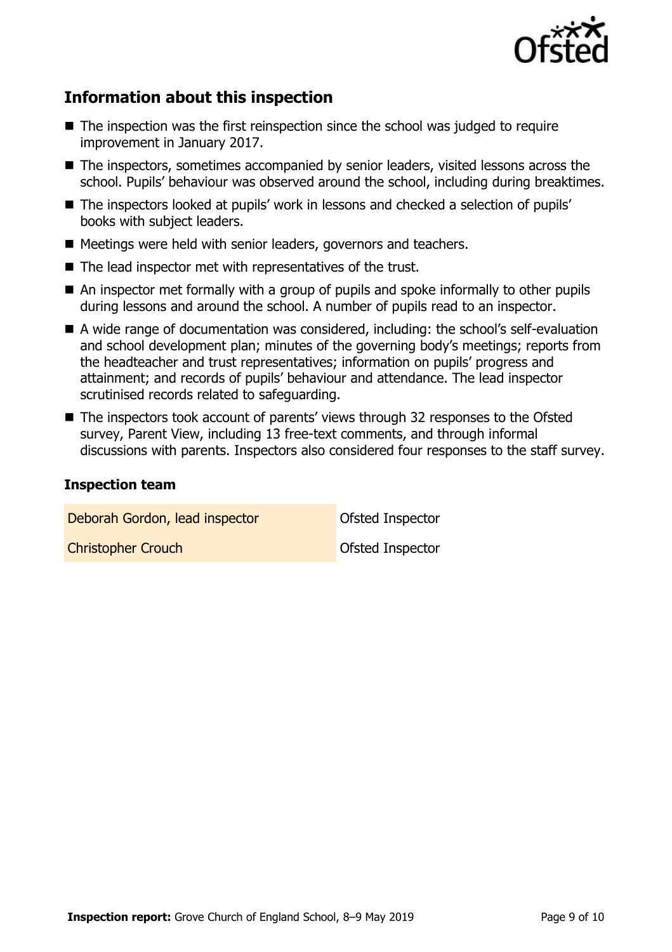

# **Information about this inspection**

- $\blacksquare$  The inspection was the first reinspection since the school was judged to require improvement in January 2017.
- The inspectors, sometimes accompanied by senior leaders, visited lessons across the school. Pupils' behaviour was observed around the school, including during breaktimes.
- The inspectors looked at pupils' work in lessons and checked a selection of pupils' books with subject leaders.
- Meetings were held with senior leaders, governors and teachers.
- The lead inspector met with representatives of the trust.
- An inspector met formally with a group of pupils and spoke informally to other pupils during lessons and around the school. A number of pupils read to an inspector.
- A wide range of documentation was considered, including: the school's self-evaluation and school development plan; minutes of the governing body's meetings; reports from the headteacher and trust representatives; information on pupils' progress and attainment; and records of pupils' behaviour and attendance. The lead inspector scrutinised records related to safeguarding.
- The inspectors took account of parents' views through 32 responses to the Ofsted survey, Parent View, including 13 free-text comments, and through informal discussions with parents. Inspectors also considered four responses to the staff survey.

#### **Inspection team**

Deborah Gordon, lead inspector **Ofsted Inspector** 

**Christopher Crouch Christopher Crouch Christopher Crouch** Ofsted Inspector